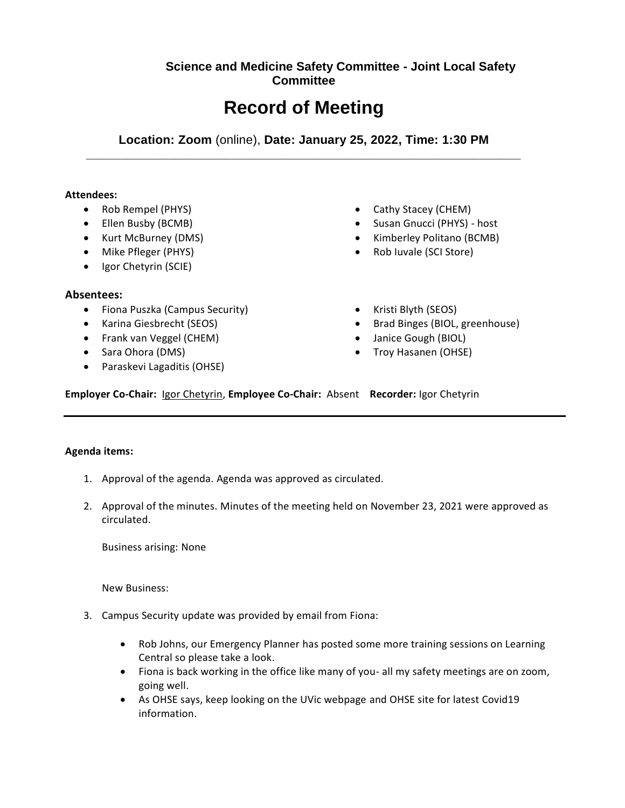# **Science and Medicine Safety Committee - Joint Local Safety Committee**

# **Record of Meeting**

**Location: Zoom** (online), **Date: January 25, 2022, Time: 1:30 PM \_\_\_\_\_\_\_\_\_\_\_\_\_\_\_\_\_\_\_\_\_\_\_\_\_\_\_\_\_\_\_\_\_\_\_\_\_\_\_\_\_\_\_\_\_\_\_\_\_\_\_\_\_\_\_\_\_\_\_\_\_\_\_**

#### **Attendees:**

- Rob Rempel (PHYS)
- Ellen Busby (BCMB)
- Kurt McBurney (DMS)
- Mike Pfleger (PHYS)
- Igor Chetyrin (SCIE)

## **Absentees:**

- Fiona Puszka (Campus Security)
- Karina Giesbrecht (SEOS)
- Frank van Veggel (CHEM)
- Sara Ohora (DMS)
- Paraskevi Lagaditis (OHSE)
- Cathy Stacey (CHEM)
- Susan Gnucci (PHYS) host
- Kimberley Politano (BCMB)
- Rob Iuvale (SCI Store)
- Kristi Blyth (SEOS)
- Brad Binges (BIOL, greenhouse)
- Janice Gough (BIOL)
- Troy Hasanen (OHSE)

**Employer Co-Chair:** Igor Chetyrin, **Employee Co-Chair:** Absent **Recorder:** Igor Chetyrin

## **Agenda items:**

- 1. Approval of the agenda. Agenda was approved as circulated.
- 2. Approval of the minutes. Minutes of the meeting held on November 23, 2021 were approved as circulated.

Business arising: None

New Business:

- 3. Campus Security update was provided by email from Fiona:
	- Rob Johns, our Emergency Planner has posted some more training sessions on Learning Central so please take a look.
	- Fiona is back working in the office like many of you- all my safety meetings are on zoom, going well.
	- As OHSE says, keep looking on the UVic webpage and OHSE site for latest Covid19 information.